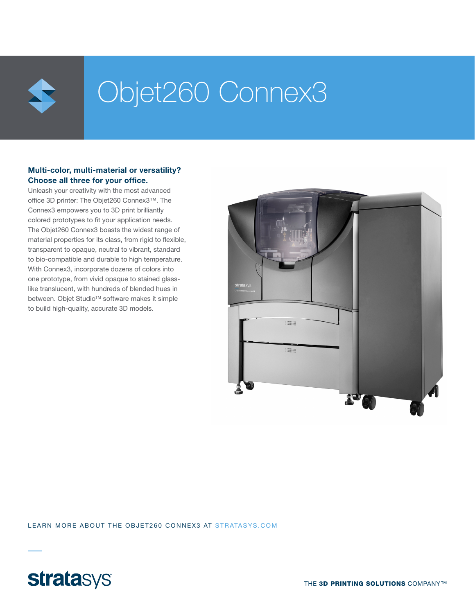

## Objet260 Connex3

#### Multi-color, multi-material or versatility? Choose all three for your office.

Unleash your creativity with the most advanced office 3D printer: The Objet260 Connex3™. The Connex3 empowers you to 3D print brilliantly colored prototypes to fit your application needs. The Objet260 Connex3 boasts the widest range of material properties for its class, from rigid to flexible, transparent to opaque, neutral to vibrant, standard to bio-compatible and durable to high temperature. With Connex3, incorporate dozens of colors into one prototype, from vivid opaque to stained glasslike translucent, with hundreds of blended hues in between. Objet Studio™ software makes it simple to build high-quality, accurate 3D models.



LEARN MORE ABOUT THE OBJET260 CONNEX3 AT STRATASYS.COM